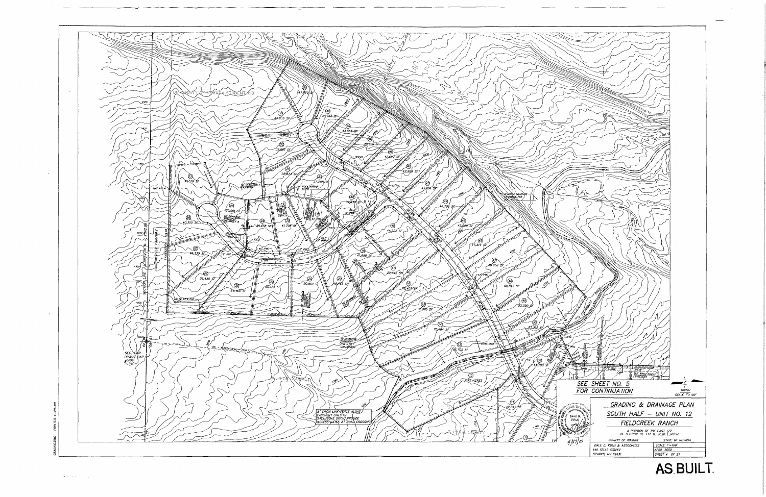